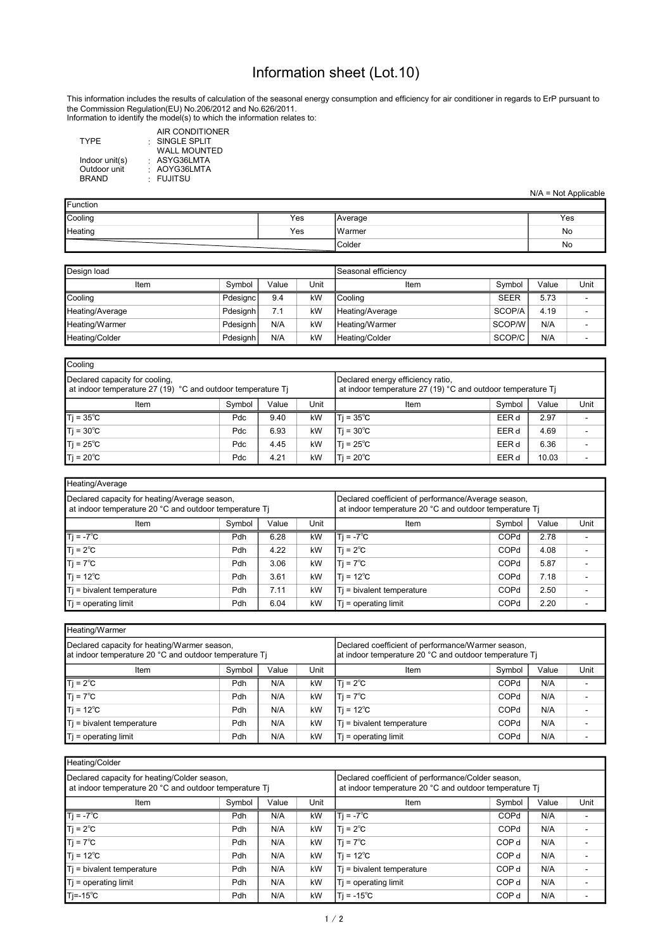## Information sheet (Lot.10)

Information to identify the model(s) to which the information relates to: This information includes the results of calculation of the seasonal energy consumption and efficiency for air conditioner in regards to ErP pursuant to the Commission Regulation(EU) No.206/2012 and No.626/2011.

| AIR CONDITIONER     |
|---------------------|
| SINGLE SPLIT        |
| <b>WALL MOUNTED</b> |
| : ASYG36LMTA        |
| : AOYG36LMTA        |
| · FUJITSU           |
|                     |

|  | $N/A = Not Applicable$ |  |
|--|------------------------|--|

| <b>Function</b> |     |         |     |  |  |  |  |  |  |
|-----------------|-----|---------|-----|--|--|--|--|--|--|
| Cooling         | Yes | Average | Yes |  |  |  |  |  |  |
| Heating         | Yes | IWarmer | No  |  |  |  |  |  |  |
|                 |     | Colder  | No  |  |  |  |  |  |  |

| Design load     | Seasonal efficiencv |       |      |                 |             |       |      |
|-----------------|---------------------|-------|------|-----------------|-------------|-------|------|
| Item            | Symbol              | Value | Unit | Item            | Symbol      | Value | Unit |
| Cooling         | <b>Pdesignc</b>     | 9.4   | kW   | l Coolina       | <b>SEER</b> | 5.73  |      |
| Heating/Average | Pdesianh            | 7.1   | kW   | Heating/Average | SCOP/A      | 4.19  |      |
| Heating/Warmer  | Pdesianh            | N/A   | kW   | Heating/Warmer  | SCOP/W      | N/A   |      |
| Heating/Colder  | Pdesianh            | N/A   | kW   | Heating/Colder  | SCOP/C      | N/A   |      |

| Cooling                                                                                       |                                                                                                  |        |       |                     |       |      |  |  |  |  |  |  |
|-----------------------------------------------------------------------------------------------|--------------------------------------------------------------------------------------------------|--------|-------|---------------------|-------|------|--|--|--|--|--|--|
| Declared capacity for cooling,<br>at indoor temperature 27 (19) °C and outdoor temperature Ti | Declared energy efficiency ratio,<br>at indoor temperature 27 (19) °C and outdoor temperature Ti |        |       |                     |       |      |  |  |  |  |  |  |
| Item                                                                                          | Item                                                                                             | Symbol | Value | Unit                |       |      |  |  |  |  |  |  |
| $Tj = 35^{\circ}C$                                                                            | <b>Pdc</b>                                                                                       | 9.40   | kW    | ITi = 35°C          | EER d | 2.97 |  |  |  |  |  |  |
| $Tj = 30^{\circ}C$                                                                            | Pdc                                                                                              | 6.93   | kW    | $ T  = 30^{\circ}C$ | EER d | 4.69 |  |  |  |  |  |  |
| $Tj = 25^{\circ}C$                                                                            | Pdc                                                                                              | 4.45   | kW    | Ti = 25℃            | EER d | 6.36 |  |  |  |  |  |  |
| $T$ j = 20 $^{\circ}$ C                                                                       | Ti = 20℃                                                                                         | EER d  | 10.03 |                     |       |      |  |  |  |  |  |  |

| Heating/Average                                                                                         |                                                                                                               |      |    |                           |        |       |      |  |  |  |  |  |
|---------------------------------------------------------------------------------------------------------|---------------------------------------------------------------------------------------------------------------|------|----|---------------------------|--------|-------|------|--|--|--|--|--|
| Declared capacity for heating/Average season,<br>at indoor temperature 20 °C and outdoor temperature Ti | Declared coefficient of performance/Average season,<br>at indoor temperature 20 °C and outdoor temperature Ti |      |    |                           |        |       |      |  |  |  |  |  |
| Unit<br>Value<br>Symbol<br>Item                                                                         |                                                                                                               |      |    | Item                      | Symbol | Value | Unit |  |  |  |  |  |
| $Ti = -7^{\circ}C$                                                                                      | <b>Pdh</b>                                                                                                    | 6.28 | kW | Ti = -7°C                 | COPd   | 2.78  |      |  |  |  |  |  |
| $T$ j = 2 $^{\circ}$ C                                                                                  | Pdh                                                                                                           | 4.22 | kW | $T = 2^{\circ}C$          | COPd   | 4.08  |      |  |  |  |  |  |
| $T$ j = 7 $^{\circ}$ C                                                                                  | Pdh                                                                                                           | 3.06 | kW | $ T  = 7^{\circ}C$        | COPd   | 5.87  |      |  |  |  |  |  |
| $T$ j = 12 $^{\circ}$ C                                                                                 | Pdh                                                                                                           | 3.61 | kW | Ti = 12℃                  | COPd   | 7.18  |      |  |  |  |  |  |
| Ti = bivalent temperature                                                                               | Pdh                                                                                                           | 7.11 | kW | Ti = bivalent temperature | COPd   | 2.50  |      |  |  |  |  |  |
| $Ti =$ operating limit                                                                                  | Pdh                                                                                                           | 6.04 | kW | $T$ i = operating limit   | COPd   | 2.20  |      |  |  |  |  |  |

| Heating/Warmer                                                                                         |        |       |      |                                                                                                              |        |       |      |  |  |  |  |
|--------------------------------------------------------------------------------------------------------|--------|-------|------|--------------------------------------------------------------------------------------------------------------|--------|-------|------|--|--|--|--|
| Declared capacity for heating/Warmer season,<br>at indoor temperature 20 °C and outdoor temperature Ti |        |       |      | Declared coefficient of performance/Warmer season,<br>at indoor temperature 20 °C and outdoor temperature Ti |        |       |      |  |  |  |  |
| Item                                                                                                   | Symbol | Value | Unit | Item                                                                                                         | Symbol | Value | Unit |  |  |  |  |
| $Ti = 2^{\circ}C$                                                                                      | Pdh    | N/A   | kW   | $Ti = 2^{\circ}C$                                                                                            | COPd   | N/A   |      |  |  |  |  |
| $Ti = 7^{\circ}C$                                                                                      | Pdh    | N/A   | kW   | $Ti = 7^{\circ}C$                                                                                            | COPd   | N/A   |      |  |  |  |  |
| $T$ j = 12 $^{\circ}$ C                                                                                | Pdh    | N/A   | kW   | $1T = 12^{\circ}C$                                                                                           | COPd   | N/A   |      |  |  |  |  |
| Ti = bivalent temperature                                                                              | Pdh    | N/A   | kW   | Ti = bivalent temperature                                                                                    | COPd   | N/A   |      |  |  |  |  |
| $T_i$ = operating limit                                                                                | Pdh    | N/A   | kW   | $Ti =$ operating limit                                                                                       | COPd   | N/A   |      |  |  |  |  |

| Heating/Colder                                                                                         |                                                                                                              |       |      |                           |                  |       |      |  |  |  |  |  |
|--------------------------------------------------------------------------------------------------------|--------------------------------------------------------------------------------------------------------------|-------|------|---------------------------|------------------|-------|------|--|--|--|--|--|
| Declared capacity for heating/Colder season,<br>at indoor temperature 20 °C and outdoor temperature Ti | Declared coefficient of performance/Colder season,<br>at indoor temperature 20 °C and outdoor temperature Ti |       |      |                           |                  |       |      |  |  |  |  |  |
| Item                                                                                                   | Symbol                                                                                                       | Value | Unit | Item                      | Symbol           | Value | Unit |  |  |  |  |  |
| $T$ j = -7 <sup>°</sup> C                                                                              | Pdh                                                                                                          | N/A   | kW   | $Ti = -7^{\circ}C$        | COPd             | N/A   |      |  |  |  |  |  |
| $T_i = 2^{\circ}C$                                                                                     | Pdh                                                                                                          | N/A   | kW   | $T = 2^{\circ}C$          | COPd             | N/A   |      |  |  |  |  |  |
| $T$ j = 7 $^{\circ}$ C                                                                                 | Pdh                                                                                                          | N/A   | kW   | $T_i = 7^{\circ}C$        | COP <sub>d</sub> | N/A   |      |  |  |  |  |  |
| $T$ j = 12 $^{\circ}$ C                                                                                | Pdh                                                                                                          | N/A   | kW   | Ti = 12°C                 | COP <sub>d</sub> | N/A   |      |  |  |  |  |  |
| $T$ = bivalent temperature                                                                             | Pdh                                                                                                          | N/A   | kW   | Ti = bivalent temperature | COP <sub>d</sub> | N/A   |      |  |  |  |  |  |
| $T$ = operating limit                                                                                  | <b>Pdh</b>                                                                                                   | N/A   | kW   | $T$ = operating limit     | COP <sub>d</sub> | N/A   |      |  |  |  |  |  |
| $T = -15^{\circ}C$                                                                                     | Pdh                                                                                                          | N/A   | kW   | $ Ti = -15^{\circ}C$      | COP <sub>d</sub> | N/A   |      |  |  |  |  |  |